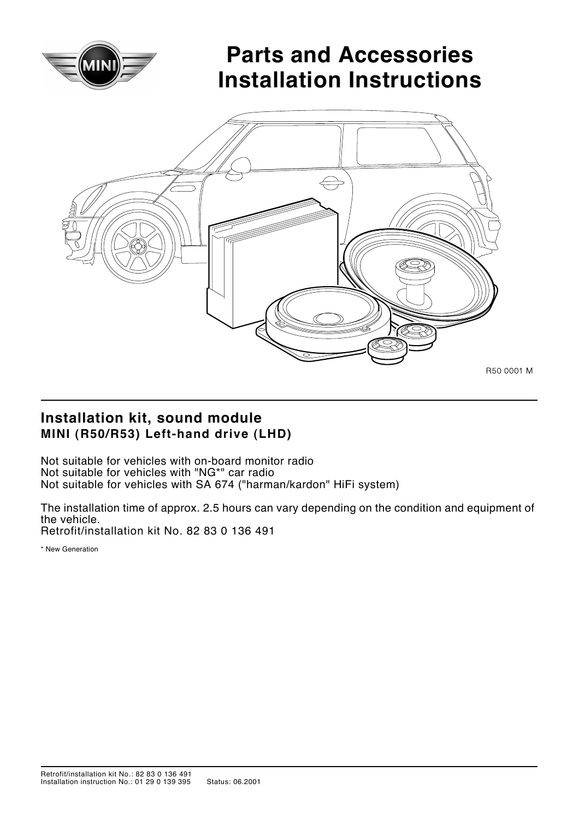

# **Parts and Accessories Installation Instructions**



### **Installation kit, sound module MINI (R50/R53) Left-hand drive (LHD)**

Not suitable for vehicles with on-board monitor radio Not suitable for vehicles with "NG\*" car radio Not suitable for vehicles with SA 674 ("harman/kardon" HiFi system)

The installation time of approx. 2.5 hours can vary depending on the condition and equipment of the vehicle. Retrofit/installation kit No. 82 83 0 136 491

\* New Generation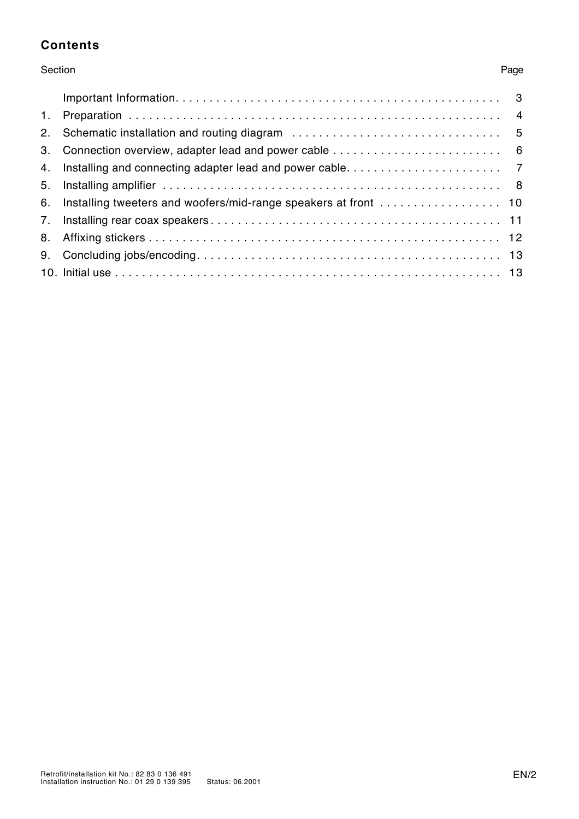#### **Contents**

#### Section Page

| 1. |  |
|----|--|
| 2. |  |
| 3. |  |
| 4. |  |
| 5. |  |
| 6. |  |
| 7. |  |
| 8. |  |
| 9. |  |
|    |  |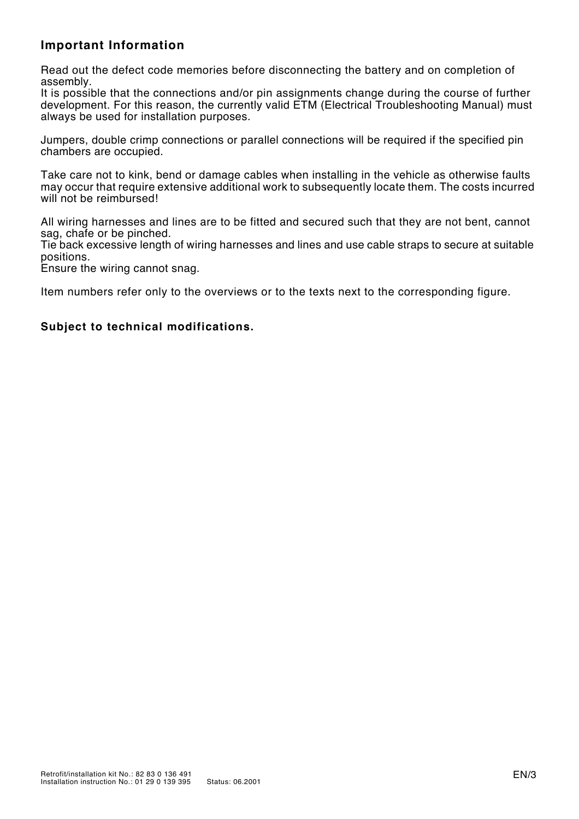#### **Important Information**

Read out the defect code memories before disconnecting the battery and on completion of assembly.

It is possible that the connections and/or pin assignments change during the course of further development. For this reason, the currently valid ETM (Electrical Troubleshooting Manual) must always be used for installation purposes.

Jumpers, double crimp connections or parallel connections will be required if the specified pin chambers are occupied.

Take care not to kink, bend or damage cables when installing in the vehicle as otherwise faults may occur that require extensive additional work to subsequently locate them. The costs incurred will not be reimbursed!

All wiring harnesses and lines are to be fitted and secured such that they are not bent, cannot sag, chafe or be pinched.

Tie back excessive length of wiring harnesses and lines and use cable straps to secure at suitable positions.

Ensure the wiring cannot snag.

Item numbers refer only to the overviews or to the texts next to the corresponding figure.

#### **Subject to technical modifications.**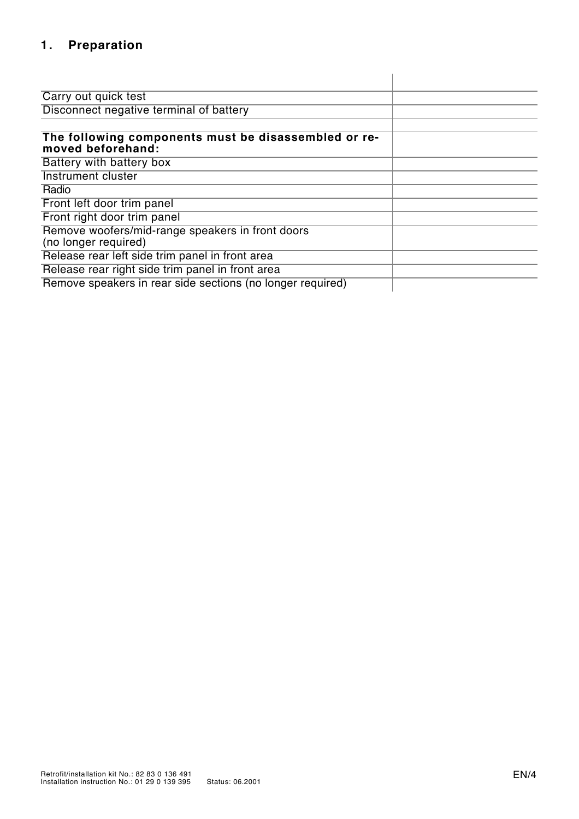# **1. Preparation**

| Carry out quick test                                                      |  |  |  |  |  |  |
|---------------------------------------------------------------------------|--|--|--|--|--|--|
| Disconnect negative terminal of battery                                   |  |  |  |  |  |  |
|                                                                           |  |  |  |  |  |  |
| The following components must be disassembled or re-<br>moved beforehand: |  |  |  |  |  |  |
| Battery with battery box                                                  |  |  |  |  |  |  |
| Instrument cluster                                                        |  |  |  |  |  |  |
| Radio                                                                     |  |  |  |  |  |  |
| Front left door trim panel                                                |  |  |  |  |  |  |
| Front right door trim panel                                               |  |  |  |  |  |  |
| Remove woofers/mid-range speakers in front doors<br>(no longer required)  |  |  |  |  |  |  |
| Release rear left side trim panel in front area                           |  |  |  |  |  |  |
| Release rear right side trim panel in front area                          |  |  |  |  |  |  |
| Remove speakers in rear side sections (no longer required)                |  |  |  |  |  |  |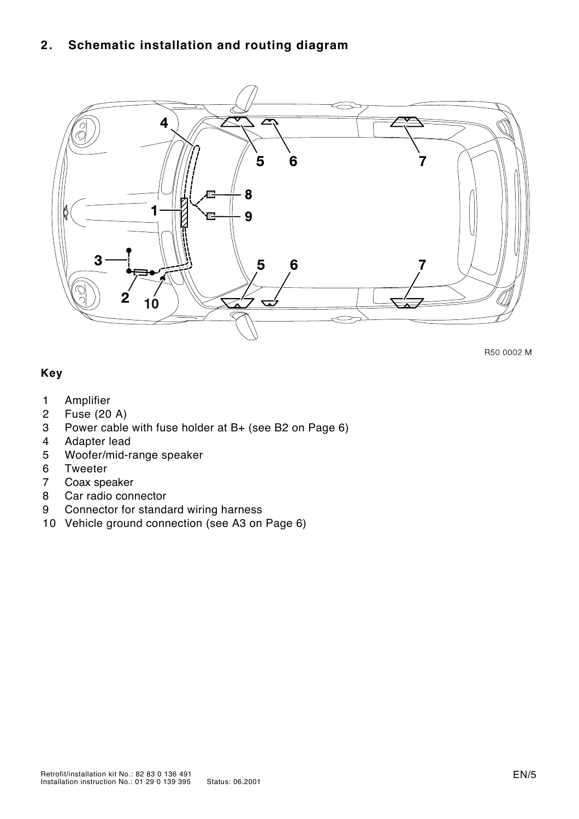#### **2. Schematic installation and routing diagram**



R50 0002 M

#### **Key**

- 0 **Amplifier**
- 2 Fuse (20 A)
- 3 Power cable with fuse holder at B+ (see B2 on Page 6)
- 4 Adapter lead
- 5 Woofer/mid-range speaker
- 6 Tweeter
- 7 Coax speaker
- Car radio connector
- 9 Connector for standard wiring harness
- 10 Vehicle ground connection (see A3 on Page 6)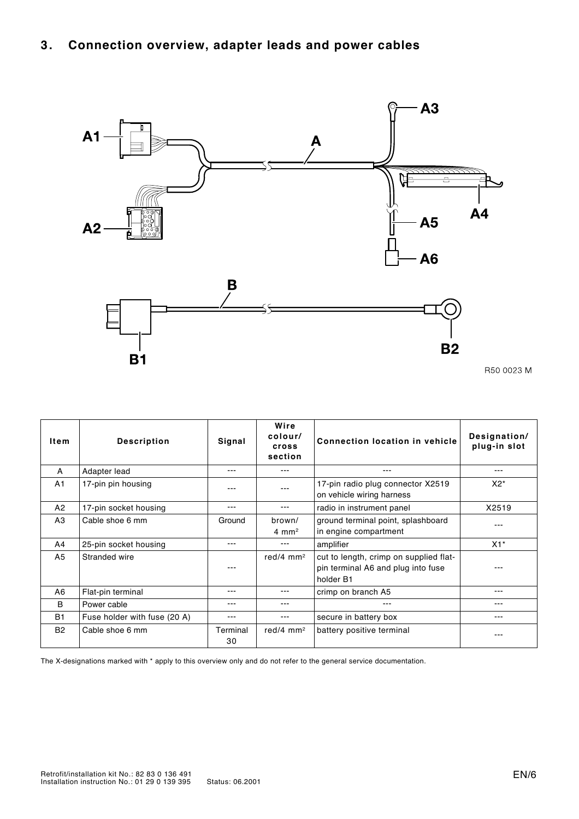## **3. Connection overview, adapter leads and power cables**



| Item           | <b>Description</b>           | Signal         | Wire<br>colour/<br>cross<br>section | <b>Connection location in vehicle</b>                                                     | Designation/<br>plug-in slot |
|----------------|------------------------------|----------------|-------------------------------------|-------------------------------------------------------------------------------------------|------------------------------|
| A              | Adapter lead                 |                |                                     | ---                                                                                       | ---                          |
| A1             | 17-pin pin housing           |                |                                     | 17-pin radio plug connector X2519<br>on vehicle wiring harness                            | $X2^*$                       |
| A2             | 17-pin socket housing        | $- - -$        | $- - -$                             | radio in instrument panel                                                                 | X2519                        |
| A <sub>3</sub> | Cable shoe 6 mm              | Ground         | brown/<br>$4 \text{ mm}^2$          | ground terminal point, splashboard<br>in engine compartment                               |                              |
| A4             | 25-pin socket housing        | ---            | $--$                                | amplifier                                                                                 | $X1^*$                       |
| A <sub>5</sub> | Stranded wire                |                | red/4 $mm2$                         | cut to length, crimp on supplied flat-<br>pin terminal A6 and plug into fuse<br>holder B1 |                              |
| A6             | Flat-pin terminal            | ---            | $--$                                | crimp on branch A5                                                                        | $---$                        |
| B              | Power cable                  | $--$           | ---                                 | ---                                                                                       | ---                          |
| <b>B1</b>      | Fuse holder with fuse (20 A) | ---            | ---                                 | secure in battery box                                                                     | ---                          |
| <b>B2</b>      | Cable shoe 6 mm              | Terminal<br>30 | red/4 $mm2$                         | battery positive terminal                                                                 |                              |

The X-designations marked with \* apply to this overview only and do not refer to the general service documentation.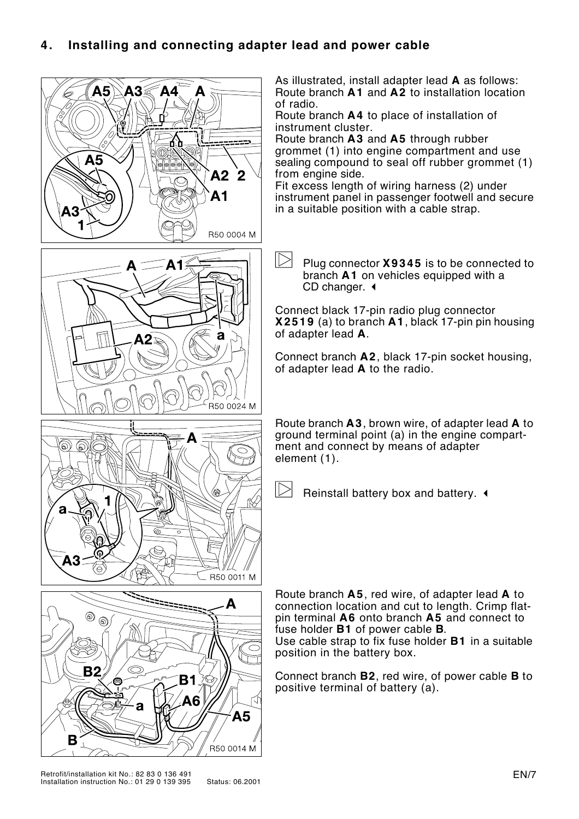#### **4. Installing and connecting adapter lead and power cable**



As illustrated, install adapter lead **A** as follows: Route branch **A1** and **A2** to installation location of radio.

Route branch **A4** to place of installation of instrument cluster.

Route branch **A3** and **A5** through rubber grommet (1) into engine compartment and use sealing compound to seal off rubber grommet (1) from engine side.

Fit excess length of wiring harness (2) under instrument panel in passenger footwell and secure in a suitable position with a cable strap.

 $\triangleright$ Plug connector **X9345** is to be connected to branch **A1** on vehicles equipped with a CD changer.  $\triangleleft$ 

Connect black 17-pin radio plug connector **X2519** (a) to branch **A1**, black 17-pin pin housing of adapter lead **A**.

Connect branch **A2**, black 17-pin socket housing, of adapter lead **A** to the radio.

Route branch **A3**, brown wire, of adapter lead **A** to ground terminal point (a) in the engine compartment and connect by means of adapter element (1).

 $\triangleright$ Reinstall battery box and battery.  $\triangleleft$ 

Route branch **A5**, red wire, of adapter lead **A** to connection location and cut to length. Crimp flatpin terminal **A6** onto branch **A5** and connect to fuse holder **B1** of power cable **B**. Use cable strap to fix fuse holder **B1** in a suitable position in the battery box.

Connect branch **B2**, red wire, of power cable **B** to positive terminal of battery (a).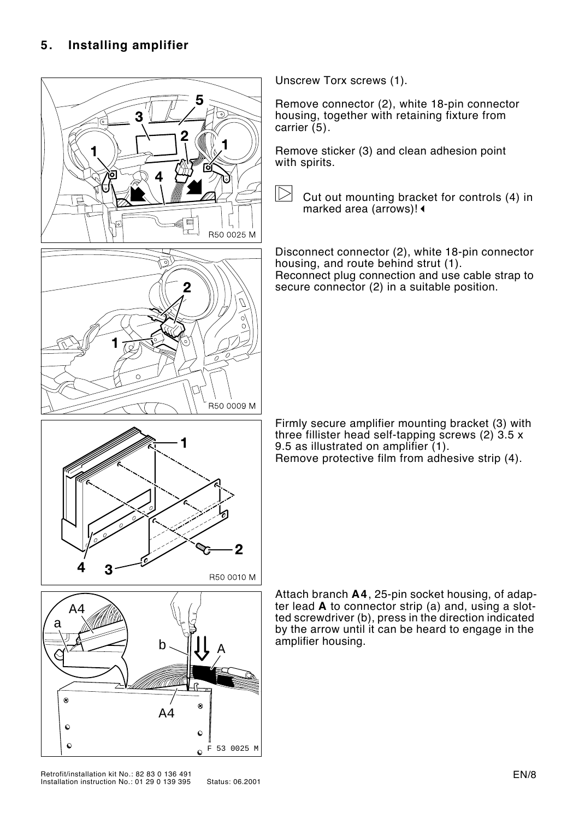

Unscrew Torx screws (1).

Remove connector (2), white 18-pin connector housing, together with retaining fixture from carrier (5).

Remove sticker (3) and clean adhesion point with spirits.

 $\triangleright$ Cut out mounting bracket for controls (4) in marked area (arrows)! <

Disconnect connector (2), white 18-pin connector housing, and route behind strut (1). Reconnect plug connection and use cable strap to secure connector (2) in a suitable position.

Firmly secure amplifier mounting bracket (3) with three fillister head self-tapping screws (2) 3.5 x 9.5 as illustrated on amplifier (1). Remove protective film from adhesive strip (4).

Attach branch **A4**, 25-pin socket housing, of adapter lead **A** to connector strip (a) and, using a slotted screwdriver (b), press in the direction indicated by the arrow until it can be heard to engage in the amplifier housing.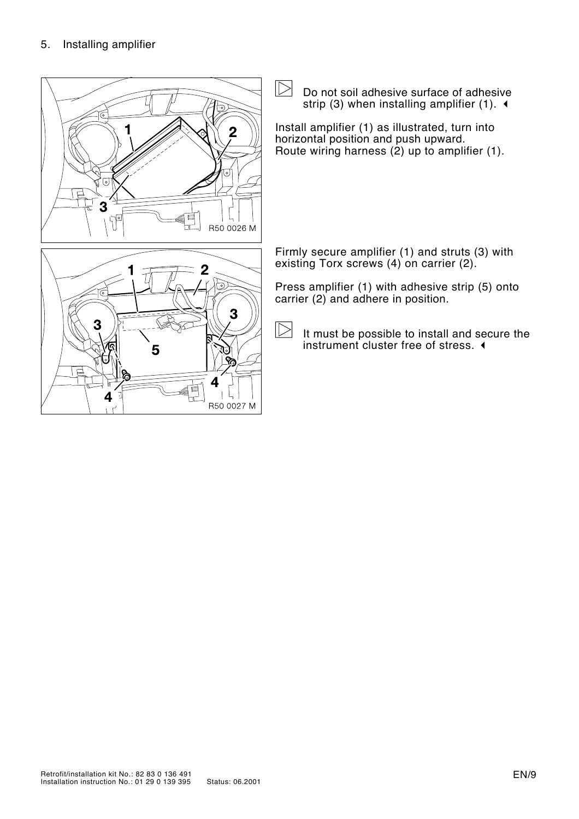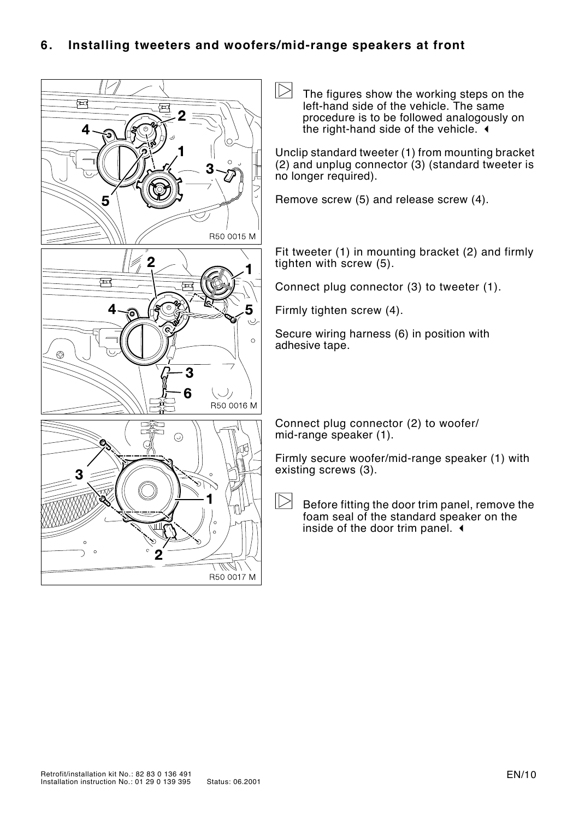#### **6. Installing tweeters and woofers/mid-range speakers at front**

 $\triangleright$ The figures show the working steps on the ब्ब left-hand side of the vehicle. The same procedure is to be followed analogously on the right-hand side of the vehicle.  $\triangleleft$ Δ Unclip standard tweeter (1) from mounting bracket (2) and unplug connector (3) (standard tweeter is no longer required). Remove screw (5) and release screw (4). 5 R50 0015 M Fit tweeter (1) in mounting bracket (2) and firmly  $\overline{2}$ tighten with  $s$  crew  $(5)$ . ब्ब Connect plug connector (3) to tweeter (1). 4  $\epsilon$ 5 Firmly tighten screw (4).  $\cup$ Secure wiring harness (6) in position with  $\circ$ adhesive tape. 3 6 (ノ) R50 0016 M 0 Connect plug connector (2) to woofer/ mid-range speaker (1).  $\odot$ Firmly secure woofer/mid-range speaker (1) with existing screws (3).  $\triangleright$ Before fitting the door trim panel, remove the foam seal of the standard speaker on the inside of the door trim panel.  $\triangleleft$ ТГ U) R50 0017 M

0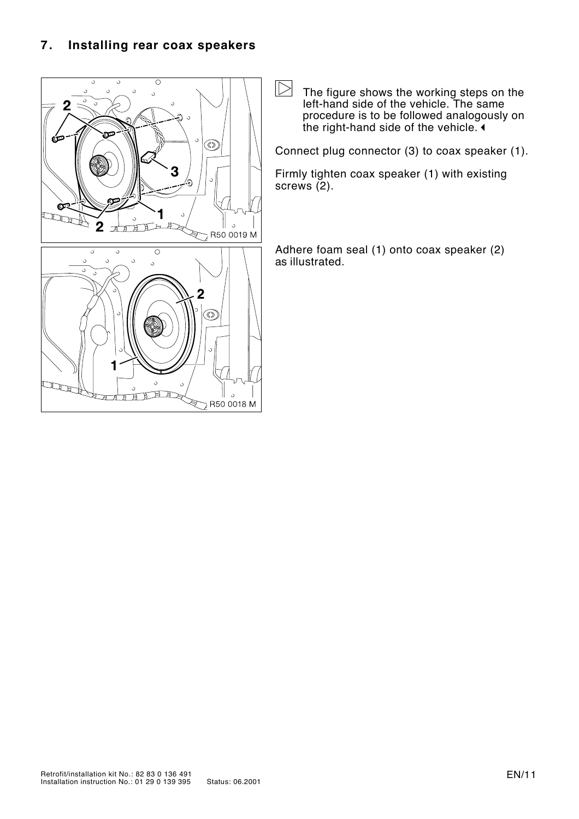

 $\triangleright$ The figure shows the working steps on the left-hand side of the vehicle. The same procedure is to be followed analogously on the right-hand side of the vehicle.  $\triangleleft$ 

Connect plug connector (3) to coax speaker (1).

Firmly tighten coax speaker (1) with existing screws (2).

Adhere foam seal (1) onto coax speaker (2) as illustrated.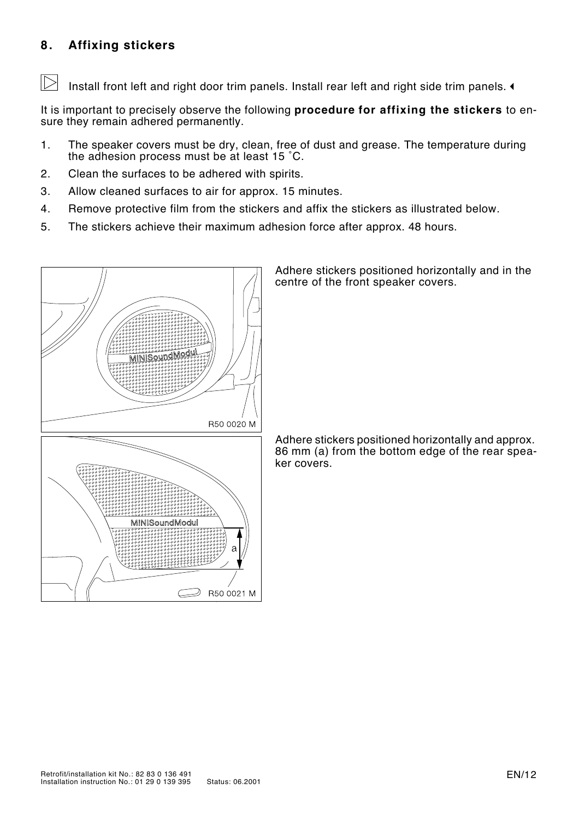#### **8. Affixing stickers**

Install front left and right door trim panels. Install rear left and right side trim panels.  $\triangleleft$ 

It is important to precisely observe the following **procedure for affixing the stickers** to ensure they remain adhered permanently.

- 1. The speaker covers must be dry, clean, free of dust and grease. The temperature during the adhesion process must be at least 15 ˚C.
- 2. Clean the surfaces to be adhered with spirits.
- 3. Allow cleaned surfaces to air for approx. 15 minutes.
- 4. Remove protective film from the stickers and affix the stickers as illustrated below.
- 5. The stickers achieve their maximum adhesion force after approx. 48 hours.



Adhere stickers positioned horizontally and in the centre of the front speaker covers.

Adhere stickers positioned horizontally and approx. 86 mm (a) from the bottom edge of the rear speaker covers.